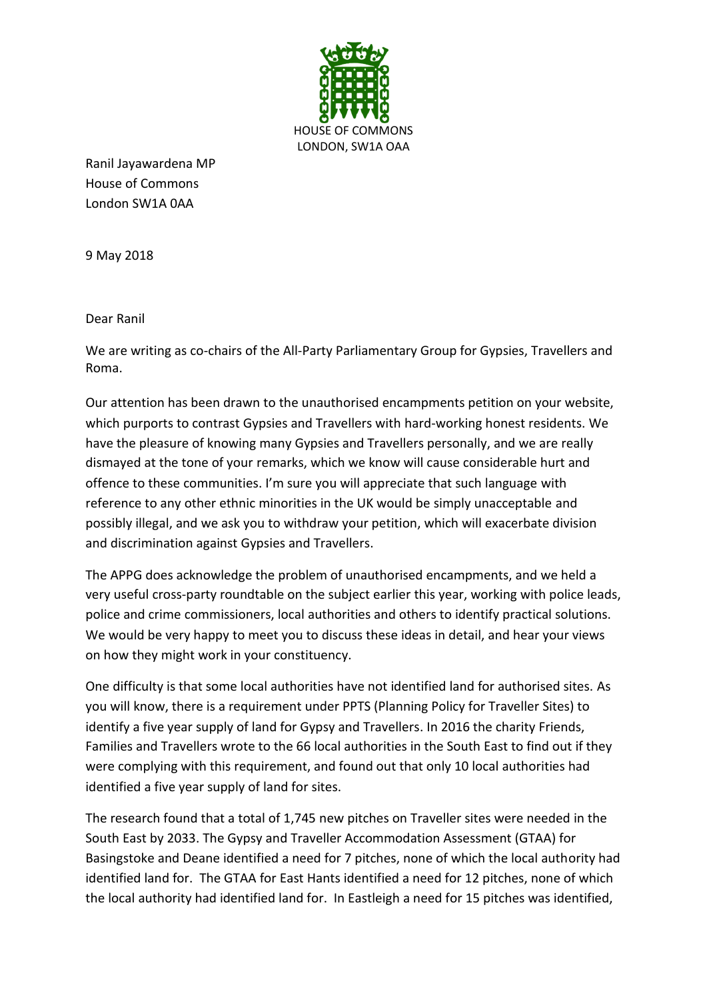

Ranil Jayawardena MP House of Commons London SW1A 0AA

9 May 2018

Dear Ranil

We are writing as co-chairs of the All-Party Parliamentary Group for Gypsies, Travellers and Roma.

Our attention has been drawn to the unauthorised encampments petition on your website, which purports to contrast Gypsies and Travellers with hard-working honest residents. We have the pleasure of knowing many Gypsies and Travellers personally, and we are really dismayed at the tone of your remarks, which we know will cause considerable hurt and offence to these communities. I'm sure you will appreciate that such language with reference to any other ethnic minorities in the UK would be simply unacceptable and possibly illegal, and we ask you to withdraw your petition, which will exacerbate division and discrimination against Gypsies and Travellers.

The APPG does acknowledge the problem of unauthorised encampments, and we held a very useful cross-party roundtable on the subject earlier this year, working with police leads, police and crime commissioners, local authorities and others to identify practical solutions. We would be very happy to meet you to discuss these ideas in detail, and hear your views on how they might work in your constituency.

One difficulty is that some local authorities have not identified land for authorised sites. As you will know, there is a requirement under PPTS (Planning Policy for Traveller Sites) to identify a five year supply of land for Gypsy and Travellers. In 2016 the charity Friends, Families and Travellers wrote to the 66 local authorities in the South East to find out if they were complying with this requirement, and found out that only 10 local authorities had identified a five year supply of land for sites.

The research found that a total of 1,745 new pitches on Traveller sites were needed in the South East by 2033. The Gypsy and Traveller Accommodation Assessment (GTAA) for Basingstoke and Deane identified a need for 7 pitches, none of which the local authority had identified land for. The GTAA for East Hants identified a need for 12 pitches, none of which the local authority had identified land for. In Eastleigh a need for 15 pitches was identified,